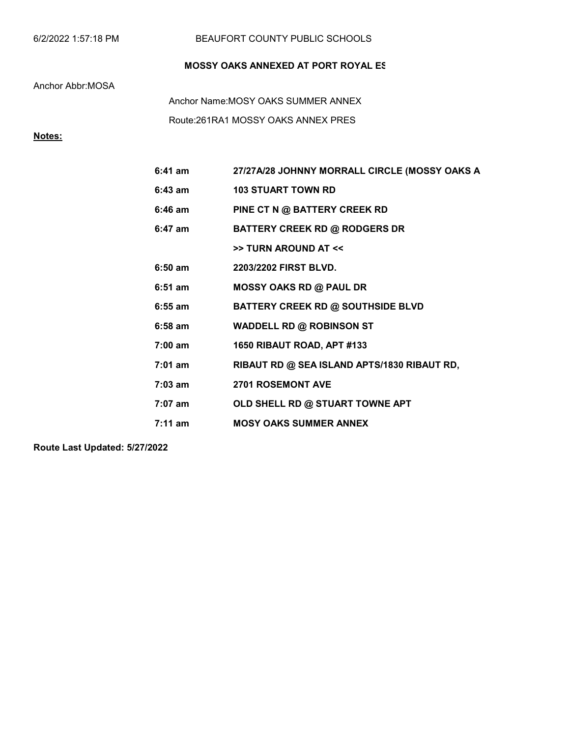|  | 6/2/2022 1:57:18 PM |
|--|---------------------|
|--|---------------------|

### BEAUFORT COUNTY PUBLIC SCHOOLS

## MOSSY OAKS ANNEXED AT PORT ROYAL ES

Anchor Abbr:MOSA

Route:261RA1 MOSSY OAKS ANNEX PRES Anchor Name:MOSY OAKS SUMMER ANNEX

# Notes:

| $6:41$ am         | 27/27A/28 JOHNNY MORRALL CIRCLE (MOSSY OAKS A |
|-------------------|-----------------------------------------------|
| $6:43$ am         | <b>103 STUART TOWN RD</b>                     |
| 6:46 am           | PINE CT N @ BATTERY CREEK RD                  |
| $6:47$ am         | <b>BATTERY CREEK RD @ RODGERS DR</b>          |
|                   | >> TURN AROUND AT <<                          |
| $6:50$ am         | 2203/2202 FIRST BLVD.                         |
| $6:51$ am         | <b>MOSSY OAKS RD @ PAUL DR</b>                |
| $6:55$ am         | <b>BATTERY CREEK RD @ SOUTHSIDE BLVD</b>      |
| $6:58$ am         | <b>WADDELL RD @ ROBINSON ST</b>               |
| $7:00 \text{ am}$ | 1650 RIBAUT ROAD, APT #133                    |
| $7:01$ am         | RIBAUT RD @ SEA ISLAND APTS/1830 RIBAUT RD,   |
| $7:03$ am         | <b>2701 ROSEMONT AVE</b>                      |
| $7:07$ am         | OLD SHELL RD @ STUART TOWNE APT               |
| $7:11$ am         | <b>MOSY OAKS SUMMER ANNEX</b>                 |

Route Last Updated: 5/27/2022